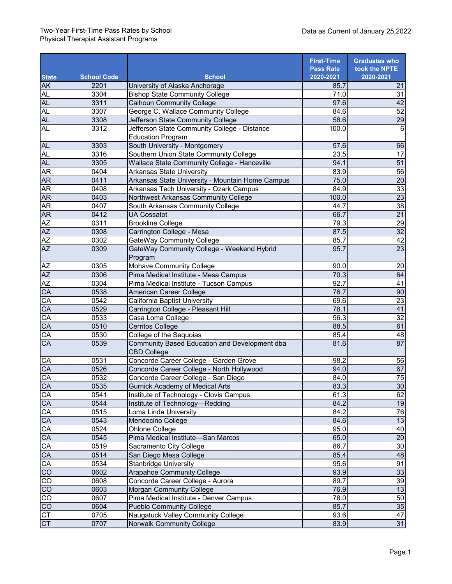|                 |                    |                                                                     | <b>First-Time</b>             | <b>Graduates who</b>       |
|-----------------|--------------------|---------------------------------------------------------------------|-------------------------------|----------------------------|
| <b>State</b>    | <b>School Code</b> | <b>School</b>                                                       | <b>Pass Rate</b><br>2020-2021 | took the NPTE<br>2020-2021 |
| <b>AK</b>       | 2201               | University of Alaska Anchorage                                      | 85.7                          | 21                         |
| <b>AL</b>       | 3304               | <b>Bishop State Community College</b>                               | 71.0                          | 31                         |
| AL              | 3311               | <b>Calhoun Community College</b>                                    | 97.6                          | 42                         |
| AL              | 3307               | George C. Wallace Community College                                 | 84.6                          | 52                         |
| <b>AL</b>       | 3308               | Jefferson State Community College                                   | 58.6                          | 29                         |
| <b>AL</b>       | 3312               | Jefferson State Community College - Distance                        | 100.0                         | 6                          |
|                 |                    | <b>Education Program</b>                                            |                               |                            |
| <b>AL</b>       | 3303               | South University - Montgomery                                       | 57.6                          | 66                         |
| AL              | 3316               | Southern Union State Community College                              | 23.5                          | 17                         |
| <b>AL</b>       | 3305               | Wallace State Community College - Hanceville                        | 94.1                          | $\overline{51}$            |
| <b>AR</b>       | 0404               | <b>Arkansas State University</b>                                    | 83.9                          | 56                         |
| <b>AR</b>       | 0411               | Arkansas State University - Mountain Home Campus                    | 75.0                          | $\overline{20}$            |
| AR              | 0408               | Arkansas Tech University - Ozark Campus                             | 84.9                          | $\overline{33}$            |
| AR              | 0403               | Northwest Arkansas Community College                                | 100.0                         | $\overline{23}$            |
| AR              | 0407               | South Arkansas Community College                                    | 44.7                          | 38                         |
| AR              | 0412               | <b>UA Cossatot</b>                                                  | 66.7                          | $\overline{21}$            |
|                 | 0311               | <b>Brookline College</b>                                            | 79.3                          | $\overline{29}$            |
|                 | 0308               | Carrington College - Mesa                                           | 87.5                          | 32                         |
| $\frac{AZ}{AZ}$ | 0302               | GateWay Community College                                           | 85.7                          | $\overline{42}$            |
| $\overline{AZ}$ | 0309               | GateWay Community College - Weekend Hybrid                          | 95.7                          | $\overline{23}$            |
|                 |                    | Program                                                             |                               |                            |
| <b>AZ</b>       | 0305               | Mohave Community College                                            | 90.0                          | 20                         |
| AZ              | 0306               | Pima Medical Institute - Mesa Campus                                | 70.3                          | 64                         |
| AZ              | 0304               | Pima Medical Institute - Tucson Campus                              | 92.7                          | 41                         |
| CA              | 0538               | American Career College                                             | 76.7                          | 90                         |
| CA              | 0542               | California Baptist University                                       | 69.6                          | 23                         |
| CA              | 0529               | Carrington College - Pleasant Hill                                  | 78.1                          | 41                         |
| CA<br>CA        | 0533               | Casa Loma College                                                   | 56.3                          | $\overline{32}$            |
|                 | 0510               | <b>Cerritos College</b>                                             | 88.5                          | 61                         |
|                 | 0530               | College of the Sequoias                                             | 85.4                          | 48                         |
| $\frac{CA}{C}$  | 0539               | Community Based Education and Development dba<br><b>CBD College</b> | 81.6                          | 87                         |
| $\overline{CA}$ | 0531               | Concorde Career College - Garden Grove                              | 98.2                          | 56                         |
| CA              | 0526               | Concorde Career College - North Hollywood                           | 94.0                          | 67                         |
| CA              | 0532               | Concorde Career College - San Diego                                 | 84.0                          | $\overline{75}$            |
| CA              | 0535               | <b>Gurnick Academy of Medical Arts</b>                              | 83.3                          | 30                         |
|                 | 0541               | Institute of Technology - Clovis Campus                             | 61.3                          | 62                         |
| $\frac{CA}{CA}$ | 0544               | Institute of Technology-Redding                                     | 84.2                          | 19                         |
| CA              | 0515               | Loma Linda University                                               | 84.2                          | 76                         |
| CA              | 0543               | Mendocino College                                                   | 84.6                          | 13                         |
| CA              | 0524               | Ohlone College                                                      | 95.0                          | 40                         |
| CA              | 0545               | Pima Medical Institute-San Marcos                                   | 65.0                          | $\overline{20}$            |
| CA              | 0519               | Sacramento City College                                             | 86.7                          | 30                         |
| CA              | 0514               | San Diego Mesa College                                              | 85.4                          | 48                         |
| 8<br>8<br>8     | 0534               | <b>Stanbridge University</b>                                        | $\overline{95.6}$             | 91                         |
|                 | 0602               | <b>Arapahoe Community College</b>                                   | 93.9                          | 33                         |
|                 | 0608               | Concorde Career College - Aurora                                    | 89.7                          | 39                         |
| 88              | 0603               | <b>Morgan Community College</b>                                     | 76.9                          | 13                         |
|                 | 0607               | Pima Medical Institute - Denver Campus                              | 78.0                          | 50                         |
| 88              | 0604               | <b>Pueblo Community College</b>                                     | 85.7                          | 35                         |
|                 | 0705               | Naugatuck Valley Community College                                  | 93.6                          | $\overline{47}$            |
| $\frac{15}{2}$  | 0707               | <b>Norwalk Community College</b>                                    | 83.9                          | 31                         |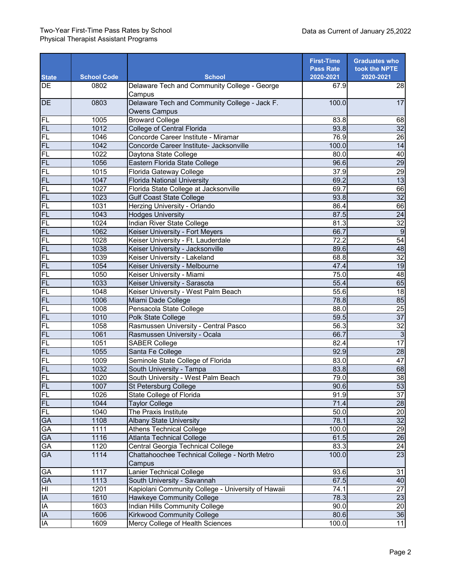| <b>State</b>    | <b>School Code</b> | <b>School</b>                                                | <b>First-Time</b><br><b>Pass Rate</b><br>2020-2021 | <b>Graduates who</b><br>took the NPTE<br>2020-2021 |
|-----------------|--------------------|--------------------------------------------------------------|----------------------------------------------------|----------------------------------------------------|
| DE              | 0802               | Delaware Tech and Community College - George                 | 67.9                                               | 28                                                 |
|                 |                    | Campus                                                       |                                                    |                                                    |
| <b>DE</b>       | 0803               | Delaware Tech and Community College - Jack F.                | 100.0                                              | $\overline{17}$                                    |
|                 |                    | <b>Owens Campus</b>                                          |                                                    |                                                    |
| FL              | 1005               | <b>Broward College</b>                                       | 83.8                                               | 68                                                 |
| <b>FL</b>       | 1012               | College of Central Florida                                   | 93.8                                               | 32                                                 |
| FL              | 1046               | Concorde Career Institute - Miramar                          | 76.9                                               | $\overline{26}$                                    |
| 巴巴              | 1042               | Concorde Career Institute- Jacksonville                      | 100.0                                              | 14                                                 |
|                 | 1022               | Daytona State College                                        | 80.0                                               | 40                                                 |
| FL              | 1056               | Eastern Florida State College                                | 96.6                                               | 29                                                 |
| FL              | 1015               | Florida Gateway College                                      | 37.9                                               | 29                                                 |
| EL              | 1047               | <b>Florida National University</b>                           | 69.2                                               | 13                                                 |
| FL              | 1027               | Florida State College at Jacksonville                        | 69.7                                               | 66                                                 |
| <b>FL</b>       | 1023               | <b>Gulf Coast State College</b>                              | 93.8                                               | 32                                                 |
| FL              | 1031               | Herzing University - Orlando                                 | 86.4                                               | 66                                                 |
| FL              | 1043               | <b>Hodges University</b>                                     | 87.5                                               | 24                                                 |
| FL              | 1024               | Indian River State College                                   | 81.3                                               | $\overline{32}$                                    |
| <b>FL</b>       | 1062               | Keiser University - Fort Meyers                              | 66.7                                               | $\overline{9}$                                     |
| FL              | 1028               | Keiser University - Ft. Lauderdale                           | 72.2                                               | $\overline{54}$                                    |
| <b>FL</b>       | 1038               | Keiser University - Jacksonville                             | 89.6                                               | 48                                                 |
| FL              | 1039               | Keiser University - Lakeland                                 | 68.8                                               | 32                                                 |
| FL              | 1054               | Keiser University - Melbourne                                | 47.4                                               | 19                                                 |
| 三四四四            | 1050               | Keiser University - Miami                                    | 75.0                                               | 48                                                 |
|                 | 1033               | Keiser University - Sarasota                                 | 55.4                                               | 65                                                 |
|                 | 1048               | Keiser University - West Palm Beach                          | 55.6                                               | 18                                                 |
| <b>FL</b>       | 1006               | Miami Dade College                                           | 78.8                                               | 85                                                 |
| FL              | 1008               | Pensacola State College                                      | 88.0                                               | 25                                                 |
| FL              | 1010               | Polk State College                                           | 59.5                                               | 37                                                 |
| FL              | 1058               | Rasmussen University - Central Pasco                         | 56.3                                               | $\overline{32}$                                    |
| FL              | 1061               | Rasmussen University - Ocala                                 | 66.7                                               | $\overline{3}$                                     |
| FL              | 1051               | <b>SABER College</b>                                         | 82.4                                               | 17                                                 |
| FL              | 1055               | Santa Fe College                                             | 92.9                                               | $\overline{28}$<br>47                              |
| FL              | 1009               | Seminole State College of Florida                            | 83.0                                               |                                                    |
| <b>FL</b>       | 1032               | South University - Tampa                                     | 83.8                                               | 68<br>38                                           |
| FL              | 1020               | South University - West Palm Beach                           | 79.0<br>90.6                                       | 53                                                 |
| FL              | 1007               | St Petersburg College                                        |                                                    | 37                                                 |
| FL              | 1026               | State College of Florida                                     | 91.9                                               | 28                                                 |
| <b>FL</b><br>FL | 1044<br>1040       | <b>Taylor College</b><br>The Praxis Institute                | 71.4<br>50.0                                       | 20                                                 |
| <b>GA</b>       | 1108               |                                                              | 78.1                                               | 32                                                 |
| GA              | 1111               | <b>Albany State University</b>                               | 100.0                                              | 29                                                 |
| GA              | 1116               | <b>Athens Technical College</b><br>Atlanta Technical College | 61.5                                               | 26                                                 |
| GA              | 1120               | Central Georgia Technical College                            | 83.3                                               |                                                    |
| <b>GA</b>       | 1114               | Chattahoochee Technical College - North Metro                | 100.0                                              | $\frac{24}{23}$                                    |
|                 |                    | Campus                                                       |                                                    |                                                    |
| GA              | 1117               | <b>Lanier Technical College</b>                              | 93.6                                               | 31                                                 |
| GA              | 1113               | South University - Savannah                                  | 67.5                                               | 40                                                 |
| Ξ               | 1201               | Kapiolani Community College - University of Hawaii           | 74.1                                               | $\overline{27}$                                    |
| $\overline{A}$  | 1610               | Hawkeye Community College                                    | 78.3                                               | 23                                                 |
| $\overline{A}$  | 1603               | <b>Indian Hills Community College</b>                        | 90.0                                               | $\overline{20}$                                    |
| $\overline{A}$  | 1606               | Kirkwood Community College                                   | 80.6                                               | 36                                                 |
| IA              | 1609               | Mercy College of Health Sciences                             | $\overline{1}00.0$                                 | $\overline{11}$                                    |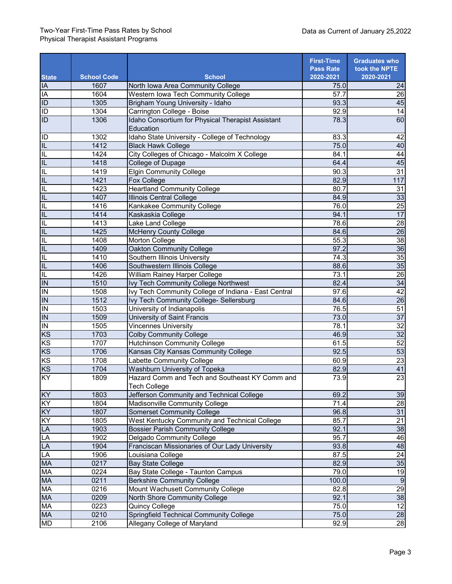|                                                                                                                                                                                                                                                                                                                                                                                                                               |                    |                                                                       | <b>First-Time</b> | <b>Graduates who</b> |
|-------------------------------------------------------------------------------------------------------------------------------------------------------------------------------------------------------------------------------------------------------------------------------------------------------------------------------------------------------------------------------------------------------------------------------|--------------------|-----------------------------------------------------------------------|-------------------|----------------------|
|                                                                                                                                                                                                                                                                                                                                                                                                                               |                    |                                                                       | <b>Pass Rate</b>  | took the NPTE        |
| <b>State</b>                                                                                                                                                                                                                                                                                                                                                                                                                  | <b>School Code</b> | <b>School</b>                                                         | 2020-2021         | 2020-2021            |
|                                                                                                                                                                                                                                                                                                                                                                                                                               | 1607               | North Iowa Area Community College                                     | 75.0              | 24                   |
| <b>A<br/> D<br/> D<br/> D<br/> D<br/> D<br/> D<br/> D<br/> D<br/> D<br/><br/><br/><br/><br/><br/><br/><br/></b>                                                                                                                                                                                                                                                                                                               | 1604               | Western Iowa Tech Community College                                   | 57.7              | 26                   |
|                                                                                                                                                                                                                                                                                                                                                                                                                               | 1305               | Brigham Young University - Idaho                                      | 93.3              | 45                   |
|                                                                                                                                                                                                                                                                                                                                                                                                                               | 1304               | Carrington College - Boise                                            | 92.9              | 14                   |
|                                                                                                                                                                                                                                                                                                                                                                                                                               | 1306               | Idaho Consortium for Physical Therapist Assistant<br>Education        | 78.3              | 60                   |
|                                                                                                                                                                                                                                                                                                                                                                                                                               | 1302               | Idaho State University - College of Technology                        | 83.3              | 42                   |
|                                                                                                                                                                                                                                                                                                                                                                                                                               | 1412               | <b>Black Hawk College</b>                                             | 75.0              | 40                   |
|                                                                                                                                                                                                                                                                                                                                                                                                                               | 1424               | City Colleges of Chicago - Malcolm X College                          | 84.1              | 44                   |
|                                                                                                                                                                                                                                                                                                                                                                                                                               | 1418               | College of Dupage                                                     | 64.4              | 45                   |
|                                                                                                                                                                                                                                                                                                                                                                                                                               | 1419               | <b>Elgin Community College</b>                                        | 90.3              | 31                   |
|                                                                                                                                                                                                                                                                                                                                                                                                                               | 1421               | Fox College                                                           | 82.9              | 117                  |
|                                                                                                                                                                                                                                                                                                                                                                                                                               | 1423               | <b>Heartland Community College</b>                                    | 80.7              | 31                   |
|                                                                                                                                                                                                                                                                                                                                                                                                                               | 1407               | <b>Illinois Central College</b>                                       | 84.9              | $\overline{33}$      |
| $\overline{\mathsf{z}}$   $\overline{\mathsf{z}}$   $\overline{\mathsf{z}}$   $\overline{\mathsf{r}}$   $\overline{\mathsf{r}}$   $\overline{\mathsf{r}}$   $\overline{\mathsf{r}}$   $\overline{\mathsf{r}}$   $\overline{\mathsf{r}}$   $\overline{\mathsf{r}}$   $\overline{\mathsf{r}}$   $\overline{\mathsf{r}}$   $\overline{\mathsf{r}}$   $\overline{\mathsf{r}}$   $\overline{\mathsf{r}}$   $\overline{\mathsf{r}}$ | 1416               | Kankakee Community College                                            | 76.0              | 25                   |
|                                                                                                                                                                                                                                                                                                                                                                                                                               | 1414               | Kaskaskia College                                                     | 94.1              | 17                   |
|                                                                                                                                                                                                                                                                                                                                                                                                                               | 1413               | Lake Land College                                                     | 78.6              | 28                   |
|                                                                                                                                                                                                                                                                                                                                                                                                                               | 1425               | <b>McHenry County College</b>                                         | 84.6              | 26                   |
|                                                                                                                                                                                                                                                                                                                                                                                                                               | 1408               | Morton College                                                        | 55.3              | $\overline{38}$      |
|                                                                                                                                                                                                                                                                                                                                                                                                                               | 1409               | Oakton Community College                                              | 97.2              | 36                   |
|                                                                                                                                                                                                                                                                                                                                                                                                                               | 1410               | Southern Illinois University                                          | 74.3              | 35                   |
|                                                                                                                                                                                                                                                                                                                                                                                                                               | 1406               | Southwestern Illinois College                                         | 88.6              | 35                   |
|                                                                                                                                                                                                                                                                                                                                                                                                                               | 1426               | William Rainey Harper College                                         | 73.1              | 26                   |
|                                                                                                                                                                                                                                                                                                                                                                                                                               | 1510               | Ivy Tech Community College Northwest                                  | 82.4              | $\overline{34}$      |
|                                                                                                                                                                                                                                                                                                                                                                                                                               | 1508               | Ivy Tech Community College of Indiana - East Central                  | 97.6              | 42                   |
|                                                                                                                                                                                                                                                                                                                                                                                                                               | 1512               | Ivy Tech Community College- Sellersburg                               | 84.6              | $\overline{26}$      |
| $\overline{\mathsf{IN}}$                                                                                                                                                                                                                                                                                                                                                                                                      | 1503               | University of Indianapolis                                            | 76.5              | 51                   |
| $\overline{I}$                                                                                                                                                                                                                                                                                                                                                                                                                | 1509               | University of Saint Francis                                           | 73.0              | $\overline{37}$      |
| $\overline{I}$                                                                                                                                                                                                                                                                                                                                                                                                                | 1505               | <b>Vincennes University</b>                                           | 78.1              | $\overline{32}$      |
| $rac{\overline{KS}}{\overline{KS}}$                                                                                                                                                                                                                                                                                                                                                                                           | 1703               | <b>Colby Community College</b>                                        | 46.9              | $\overline{32}$      |
|                                                                                                                                                                                                                                                                                                                                                                                                                               | 1707               | <b>Hutchinson Community College</b>                                   | 61.5              | 52                   |
|                                                                                                                                                                                                                                                                                                                                                                                                                               | 1706               | Kansas City Kansas Community College                                  | 92.5              | 53                   |
|                                                                                                                                                                                                                                                                                                                                                                                                                               | 1708               | Labette Community College                                             | 60.9              | 23                   |
| KS                                                                                                                                                                                                                                                                                                                                                                                                                            | 1704               | Washburn University of Topeka                                         | 82.9              | 41                   |
| KY                                                                                                                                                                                                                                                                                                                                                                                                                            | 1809               | Hazard Comm and Tech and Southeast KY Comm and<br><b>Tech College</b> | 73.9              | $\overline{23}$      |
| KY                                                                                                                                                                                                                                                                                                                                                                                                                            | 1803               | Jefferson Community and Technical College                             | 69.2              | 39                   |
|                                                                                                                                                                                                                                                                                                                                                                                                                               | 1804               | Madisonville Community College                                        | 71.4              |                      |
| $\frac{KY}{KY}$                                                                                                                                                                                                                                                                                                                                                                                                               | 1807               | <b>Somerset Community College</b>                                     | 96.8              | $\frac{28}{31}$      |
|                                                                                                                                                                                                                                                                                                                                                                                                                               | 1805               | West Kentucky Community and Technical College                         | 85.7              | $\overline{21}$      |
| LA LA LA                                                                                                                                                                                                                                                                                                                                                                                                                      | 1903               | <b>Bossier Parish Community College</b>                               | 92.1              | 38                   |
|                                                                                                                                                                                                                                                                                                                                                                                                                               | 1902               | <b>Delgado Community College</b>                                      | 95.7              | 46                   |
|                                                                                                                                                                                                                                                                                                                                                                                                                               | 1904               | Franciscan Missionaries of Our Lady University                        | 93.8              | 48                   |
|                                                                                                                                                                                                                                                                                                                                                                                                                               | 1906               | Louisiana College                                                     | 87.5              | $\overline{24}$      |
| <b>MA</b>                                                                                                                                                                                                                                                                                                                                                                                                                     | 0217               | <b>Bay State College</b>                                              | 82.9              | 35                   |
| MA                                                                                                                                                                                                                                                                                                                                                                                                                            | 0224               | Bay State College - Taunton Campus                                    | 79.0              | 19                   |
|                                                                                                                                                                                                                                                                                                                                                                                                                               | 0211               | <b>Berkshire Community College</b>                                    | 100.0             | 9                    |
|                                                                                                                                                                                                                                                                                                                                                                                                                               | 0216               | Mount Wachusett Community College                                     | 82.8              | 29                   |
| $\frac{\overline{\mathsf{MA}}}{\mathsf{MA}}$ $\frac{\mathsf{MA}}{\mathsf{MA}}$                                                                                                                                                                                                                                                                                                                                                | 0209               | North Shore Community College                                         | 92.1              | 38                   |
| MA                                                                                                                                                                                                                                                                                                                                                                                                                            | 0223               | Quincy College                                                        | 75.0              | $\overline{12}$      |
| MA                                                                                                                                                                                                                                                                                                                                                                                                                            | 0210               | Springfield Technical Community College                               | 75.0              | <b>28</b>            |
| <b>MD</b>                                                                                                                                                                                                                                                                                                                                                                                                                     | 2106               | Allegany College of Maryland                                          | 92.9              | $\overline{28}$      |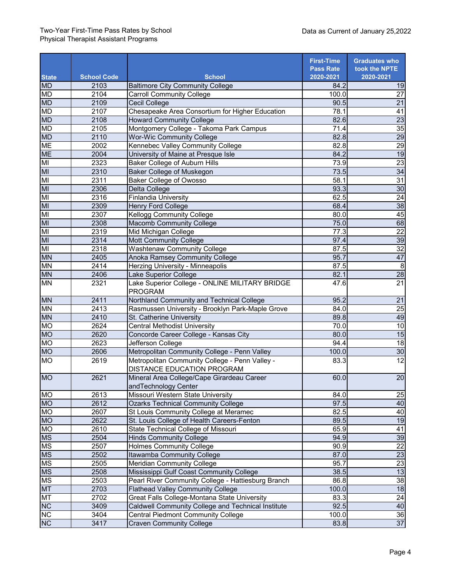## Two-Year First-Time Pass Rates by School Physical Therapist Assistant Programs

|                |                    |                                                                              | <b>First-Time</b><br><b>Pass Rate</b> | <b>Graduates who</b><br>took the NPTE |
|----------------|--------------------|------------------------------------------------------------------------------|---------------------------------------|---------------------------------------|
| <b>State</b>   | <b>School Code</b> | <b>School</b>                                                                | 2020-2021                             | 2020-2021                             |
| <b>MD</b>      | 2103               | <b>Baltimore City Community College</b>                                      | 84.2                                  | 19                                    |
| <b>MD</b>      | 2104               | <b>Carroll Community College</b>                                             | 100.0                                 | $\overline{27}$                       |
| <b>MD</b>      | 2109               | Cecil College                                                                | 90.5                                  | $\overline{21}$                       |
| <b>MD</b>      | 2107               | Chesapeake Area Consortium for Higher Education                              | 78.1                                  | 41                                    |
| <b>MD</b>      | 2108               | <b>Howard Community College</b>                                              | 82.6                                  | 23                                    |
| <b>MD</b>      | 2105               | Montgomery College - Takoma Park Campus                                      | 71.4                                  | 35                                    |
| <b>MD</b>      | 2110               | <b>Wor-Wic Community College</b>                                             | 82.8                                  | 29                                    |
| <b>ME</b>      | 2002               | Kennebec Valley Community College                                            | 82.8                                  | $\overline{29}$                       |
| <b>ME</b>      | 2004               | University of Maine at Presque Isle                                          | 84.2                                  | 19                                    |
| M <sub>l</sub> | 2323               | Baker College of Auburn Hills                                                | 73.9                                  | $\overline{23}$                       |
| M <sub>l</sub> | 2310               | <b>Baker College of Muskegon</b>                                             | 73.5                                  | 34                                    |
| MI             | 2311               | <b>Baker College of Owosso</b>                                               | 58.1                                  | 31                                    |
| MI             | 2306               | Delta College                                                                | 93.3                                  | $\overline{30}$                       |
| MI             | 2316               | <b>Finlandia University</b>                                                  | 62.5                                  | 24                                    |
| M <sub>l</sub> | 2309               | <b>Henry Ford College</b>                                                    | 68.4                                  | $\overline{38}$                       |
| M <sub>l</sub> | 2307               | <b>Kellogg Community College</b>                                             | 80.0                                  | 45                                    |
| M <sub>l</sub> | 2308               | <b>Macomb Community College</b>                                              | 75.0                                  | 68                                    |
| M <sub>l</sub> | 2319               | Mid Michigan College                                                         | 77.3                                  | $\overline{22}$                       |
| M <sub>l</sub> | 2314               | <b>Mott Community College</b>                                                | 97.4                                  | 39                                    |
| M <sub>l</sub> | 2318               | <b>Washtenaw Community College</b>                                           | 87.5                                  | 32                                    |
| <b>MN</b>      | 2405               | Anoka Ramsey Community College                                               | 95.7                                  | 47                                    |
| <b>NN</b>      | 2414               | Herzing University - Minneapolis                                             | 87.5                                  | $\, 8$                                |
| <b>MN</b>      | 2406               | Lake Superior College                                                        | 82.1                                  | 28                                    |
| <b>MN</b>      | 2321               | Lake Superior College - ONLINE MILITARY BRIDGE<br><b>PROGRAM</b>             | 47.6                                  | $\overline{21}$                       |
| <b>MN</b>      | 2411               | Northland Community and Technical College                                    | 95.2                                  | 21                                    |
| <b>MN</b>      | 2413               | Rasmussen University - Brooklyn Park-Maple Grove                             | 84.0                                  | 25                                    |
| <b>MN</b>      | 2410               | St. Catherine University                                                     | 89.8                                  | 49                                    |
| <b>MO</b>      | 2624               | <b>Central Methodist University</b>                                          | 70.0                                  | 10                                    |
| <b>MO</b>      | 2620               | Concorde Career College - Kansas City                                        | 80.0                                  | 15                                    |
| <b>MO</b>      | 2623               | Jefferson College                                                            | 94.4                                  | $\overline{18}$                       |
| <b>MO</b>      | 2606               | Metropolitan Community College - Penn Valley                                 | 100.0                                 | 30                                    |
| <b>MO</b>      | 2619               | Metropolitan Community College - Penn Valley -<br>DISTANCE EDUCATION PROGRAM | 83.3                                  | 12                                    |
| <b>MO</b>      | 2621               | Mineral Area College/Cape Girardeau Career<br>andTechnology Center           | 60.0                                  | 20                                    |
| <b>MO</b>      | 2613               | Missouri Western State University                                            | 84.0                                  | <b>25</b>                             |
| <b>MO</b>      | 2612               | <b>Ozarks Technical Community College</b>                                    | 97.5                                  | 40                                    |
| <b>OM</b>      | 2607               | St Louis Community College at Meramec                                        | 82.5                                  | 40                                    |
| <b>MO</b>      | 2622               | St. Louis College of Health Careers-Fenton                                   | 89.5                                  | 19                                    |
| <b>OM</b>      | 2610               | State Technical College of Missouri                                          | 65.9                                  | 41                                    |
| <b>MS</b>      | 2504               | <b>Hinds Community College</b>                                               | 94.9                                  | $\frac{39}{22}$                       |
| <b>MS</b>      | 2507               | <b>Holmes Community College</b>                                              | 90.9                                  |                                       |
| <b>MS</b>      | 2502               | Itawamba Community College                                                   | 87.0                                  | 23                                    |
| <b>MS</b>      | 2505               | <b>Meridian Community College</b>                                            | 95.7                                  | 23                                    |
| <b>MS</b>      | 2508               | Mississippi Gulf Coast Community College                                     | 38.5                                  | 13                                    |
| <b>MS</b>      | 2503               | Pearl River Community College - Hattiesburg Branch                           | 86.8                                  | $\overline{38}$                       |
| <b>MT</b>      | 2703               | <b>Flathead Valley Community College</b>                                     | 100.0                                 | $\overline{18}$                       |
| <b>MT</b>      | 2702               | Great Falls College-Montana State University                                 | 83.3                                  | 24                                    |
| NC             | 3409               | Caldwell Community College and Technical Institute                           | 92.5                                  | 40                                    |
| Z              | 3404               | <b>Central Piedmont Community College</b>                                    | 100.0                                 | 36                                    |
| NC             | 3417               | <b>Craven Community College</b>                                              | 83.8                                  | 37                                    |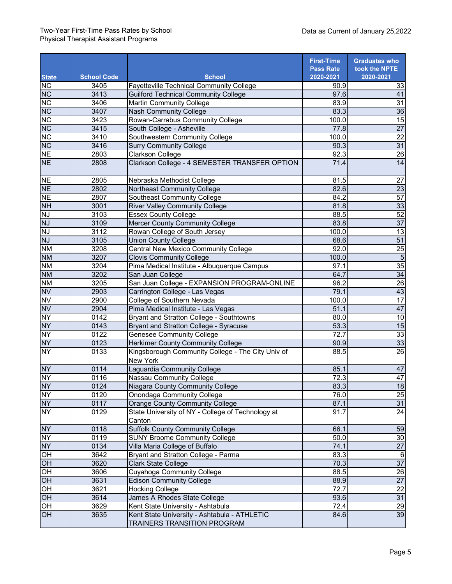|                        |                    |                                                                             | <b>First-Time</b>             | <b>Graduates who</b>       |
|------------------------|--------------------|-----------------------------------------------------------------------------|-------------------------------|----------------------------|
| <b>State</b>           | <b>School Code</b> | <b>School</b>                                                               | <b>Pass Rate</b><br>2020-2021 | took the NPTE<br>2020-2021 |
| $\overline{NC}$        | 3405               | <b>Fayetteville Technical Community College</b>                             | 90.9                          | 33                         |
| $\overline{\text{NC}}$ | 3413               | <b>Guilford Technical Community College</b>                                 | 97.6                          | 41                         |
| NC                     | 3406               | <b>Martin Community College</b>                                             | 83.9                          | $\overline{31}$            |
| NC                     | 3407               | <b>Nash Community College</b>                                               | 83.3                          | 36                         |
| $\overline{NC}$        | 3423               | Rowan-Carrabus Community College                                            | 100.0                         | 15                         |
| $\overline{\text{NC}}$ | 3415               | South College - Asheville                                                   | 77.8                          | $\overline{27}$            |
| $\overline{NC}$        | 3410               | Southwestern Community College                                              | 100.0                         | $\overline{22}$            |
| NC                     | 3416               | <b>Surry Community College</b>                                              | 90.3                          | 31                         |
| <b>NE</b>              | 2803               | <b>Clarkson College</b>                                                     | 92.3                          | 26                         |
| <b>NE</b>              | 2808               | Clarkson College - 4 SEMESTER TRANSFER OPTION                               | 71.4                          | $\overline{14}$            |
|                        |                    |                                                                             |                               |                            |
| <b>NE</b>              | 2805               | Nebraska Methodist College                                                  | 81.5                          | 27                         |
| <b>NE</b>              | 2802               | Northeast Community College                                                 | 82.6                          | $\overline{23}$            |
| <b>NE</b>              | 2807               | <b>Southeast Community College</b>                                          | 84.2                          | $\overline{57}$            |
| <b>NH</b>              | 3001               | <b>River Valley Community College</b>                                       | 81.8                          | 33                         |
| NJ                     | 3103               | <b>Essex County College</b>                                                 | 88.5                          | 52                         |
| $\overline{NJ}$        | 3109               | <b>Mercer County Community College</b>                                      | 83.8                          | $\overline{37}$            |
| $\overline{NJ}$        | 3112               | Rowan College of South Jersey                                               | 100.0                         | 13                         |
| $\overline{NJ}$        | 3105               | <b>Union County College</b>                                                 | 68.6                          | 51                         |
| <b>NM</b>              | 3208               | <b>Central New Mexico Community College</b>                                 | 92.0                          | 25                         |
| <b>NM</b>              | 3207               | <b>Clovis Community College</b>                                             | 100.0                         | $\overline{5}$             |
| <b>NM</b>              | 3204               | Pima Medical Institute - Albuquerque Campus                                 | 97.1                          | 35                         |
| <b>NM</b>              | 3202               | San Juan College                                                            | 64.7                          | $\frac{34}{26}$            |
| <b>NM</b>              | 3205               | San Juan College - EXPANSION PROGRAM-ONLINE                                 | 96.2                          |                            |
| <b>NV</b>              | 2903               | Carrington College - Las Vegas                                              | 79.1                          | 43                         |
| <b>NV</b>              | 2900               | College of Southern Nevada                                                  | 100.0                         | 17                         |
| <b>NV</b>              | 2904               | Pima Medical Institute - Las Vegas                                          | 51.1                          | 47                         |
| NY                     | 0142               | Bryant and Stratton College - Southtowns                                    | 80.0                          | 10                         |
| <b>NY</b>              | 0143               | <b>Bryant and Stratton College - Syracuse</b>                               | 53.3                          | 15                         |
| NY                     | 0122               | <b>Genesee Community College</b>                                            | 72.7                          | 33                         |
| <b>NY</b>              | 0123               | Herkimer County Community College                                           | 90.9                          | 33                         |
| $\overline{NY}$        | 0133               | Kingsborough Community College - The City Univ of                           | 88.5                          | $\overline{26}$            |
|                        |                    | <b>New York</b>                                                             |                               |                            |
| <b>NY</b>              | 0114               | Laguardia Community College                                                 | 85.1                          | 47                         |
| $\overline{NY}$        | 0116               | Nassau Community College                                                    | 72.3                          | 47                         |
| <b>NY</b>              | 0124               | Niagara County Community College                                            | 83.3                          | 18                         |
| NY                     | 0120               | <b>Onondaga Community College</b>                                           | 76.0                          | $\frac{25}{31}$            |
| <b>NY</b>              | 0117               | <b>Orange County Community College</b>                                      | 87.1                          |                            |
| $\overline{NY}$        | 0129               | State University of NY - College of Technology at                           | 91.7                          | $\overline{24}$            |
|                        |                    | Canton                                                                      |                               |                            |
| <b>NY</b>              | 0118               | <b>Suffolk County Community College</b>                                     | 66.1                          | 59                         |
| <b>NY</b>              | 0119               | <b>SUNY Broome Community College</b>                                        | 50.0                          | 30                         |
| <b>NY</b>              | 0134               | Villa Maria College of Buffalo                                              | 74.1                          | $\overline{27}$            |
| $\overline{C}$         | 3642               | Bryant and Stratton College - Parma                                         | 83.3                          | 6                          |
| OH                     | 3620               | <b>Clark State College</b>                                                  | 70.3                          | 37                         |
| $\frac{1}{10}$         | 3606               | <b>Cuyahoga Community College</b>                                           | 88.5                          | $\frac{26}{27}$            |
|                        | 3631               | <b>Edison Community College</b>                                             | 88.9                          |                            |
| OH                     | 3621               | <b>Hocking College</b>                                                      | 72.7                          | $\overline{22}$            |
| $\overline{CH}$        | 3614               | James A Rhodes State College                                                | 93.6                          | 31                         |
| OH                     | 3629               | Kent State University - Ashtabula                                           | 72.4                          | $\frac{29}{39}$            |
| $\overline{OH}$        | 3635               | Kent State University - Ashtabula - ATHLETIC<br>TRAINERS TRANSITION PROGRAM | 84.6                          |                            |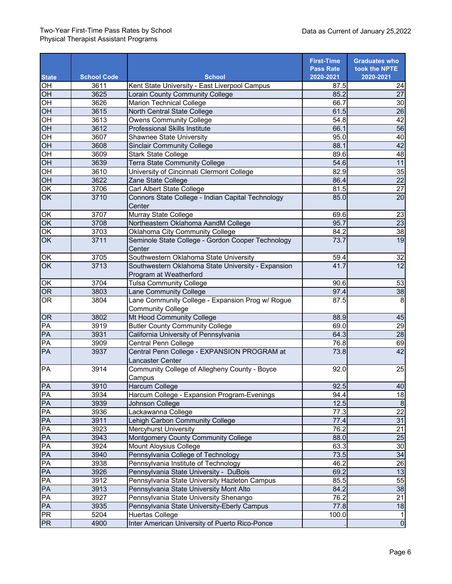## Two-Year First-Time Pass Rates by School Physical Therapist Assistant Programs

|                        |                    |                                                             | <b>First-Time</b> | <b>Graduates who</b>               |
|------------------------|--------------------|-------------------------------------------------------------|-------------------|------------------------------------|
|                        |                    |                                                             | <b>Pass Rate</b>  | took the NPTE                      |
| <b>State</b>           | <b>School Code</b> | <b>School</b>                                               | 2020-2021         | 2020-2021                          |
| $\overline{CH}$        | 3611               | Kent State University - East Liverpool Campus               | 87.5              | 24                                 |
| OH                     | 3625               | Lorain County Community College                             | 85.2              | $\overline{27}$                    |
| $\overline{OH}$        | 3626               | <b>Marion Technical College</b>                             | 66.7              | 30                                 |
| O <sub>H</sub>         | 3615               | North Central State College                                 | 61.5              | $\overline{26}$<br>42              |
| O <sub>H</sub>         | 3613               | <b>Owens Community College</b>                              | 54.8              |                                    |
| $\overline{C}$         | 3612               | <b>Professional Skills Institute</b>                        | 66.1              | $\overline{56}$                    |
| $OH$                   | 3607               | <b>Shawnee State University</b>                             | 95.0              | 40                                 |
| OH                     | 3608               | <b>Sinclair Community College</b>                           | 88.1              | 42                                 |
| O <sub>H</sub>         | 3609               | <b>Stark State College</b>                                  | 89.6              | 48                                 |
| O <sub>H</sub>         | 3639               | <b>Terra State Community College</b>                        | 54.6              | 11                                 |
| $\overline{CH}$        | 3610               | University of Cincinnati Clermont College                   | 82.9              | 35                                 |
| $\overline{CH}$        | 3622               | Zane State College                                          | 86.4              | $\overline{22}$<br>$\overline{27}$ |
| $\overline{OK}$        | 3706               | Carl Albert State College                                   | 81.5              | $\overline{20}$                    |
| OK                     | 3710               | Connors State College - Indian Capital Technology<br>Center | 85.0              |                                    |
| $\frac{OK}{OK}$        | 3707               | Murray State College                                        | 69.6              | 23                                 |
|                        | 3708               | Northeastern Oklahoma AandM College                         | 95.7              | 23                                 |
| $\overline{OK}$        | 3703               | Oklahoma City Community College                             | 84.2              | 38                                 |
| $\overline{OK}$        | 3711               | Seminole State College - Gordon Cooper Technology<br>Center | 73.7              | 19                                 |
| $\overline{OK}$        | 3705               | Southwestern Oklahoma State University                      | 59.4              | 32                                 |
| OK                     | 3713               | Southwestern Oklahoma State University - Expansion          | 41.7              | $\overline{12}$                    |
|                        |                    | Program at Weatherford                                      |                   |                                    |
| OK                     | 3704               | <b>Tulsa Community College</b>                              | 90.6              | 53                                 |
| $\overline{\text{OR}}$ | 3803               | Lane Community College                                      | 97.4              | 38                                 |
| <b>OR</b>              | 3804               | Lane Community College - Expansion Prog w/ Rogue            | 87.5              | 8                                  |
|                        |                    | <b>Community College</b>                                    |                   |                                    |
| OR                     | 3802               | Mt Hood Community College                                   | 88.9              | 45                                 |
| PA                     | 3919               | <b>Butler County Community College</b>                      | 69.0              | 29                                 |
| PA                     | 3931               | California University of Pennsylvania                       | 64.3              | $\overline{28}$                    |
| PA                     | 3909               | Central Penn College                                        | 76.8              | 69                                 |
| PA                     | 3937               | Central Penn College - EXPANSION PROGRAM at                 | 73.8              | 42                                 |
|                        |                    | Lancaster Center                                            |                   |                                    |
| PA                     | 3914               | Community College of Allegheny County - Boyce               | 92.0              | 25                                 |
|                        |                    | Campus                                                      |                   |                                    |
| PA                     | 3910               | Harcum College                                              | 92.5              | 40                                 |
| PA                     | 3934               | Harcum College - Expansion Program-Evenings                 | 94.4              | $\frac{1}{8}$                      |
| PA                     | 3939               | Johnson College                                             | 12.5              | $\boldsymbol{8}$                   |
| PA                     | 3936               | Lackawanna College                                          | 77.3              | 22                                 |
| PA                     | 3911               | Lehigh Carbon Community College                             | 77.4              | 31                                 |
| PA                     | 3923               | <b>Mercyhurst University</b>                                | 76.2              | 21                                 |
| PA                     | 3943               | Montgomery County Community College                         | 88.0              | $\overline{25}$                    |
| PA                     | 3924               | <b>Mount Aloysius College</b>                               | 63.3              | $\overline{30}$                    |
| PA                     | 3940               | Pennsylvania College of Technology                          | 73.5              | 34                                 |
| PA                     | 3938               | Pennsylvania Institute of Technology                        | 46.2              | $\overline{26}$                    |
| PA                     | 3926               | Pennsylvania State University - DuBois                      | 69.2              | 13                                 |
| PA                     | 3912               | Pennsylvania State University Hazleton Campus               | 85.5              | 55                                 |
| PA                     | 3913               | Pennsylvania State University Mont Alto                     | 84.2              | 38                                 |
| PA                     | 3927               | Pennsylvania State University Shenango                      | 76.2              | $\overline{21}$                    |
| PA                     | 3935               | Pennsylvania State University-Eberly Campus                 | 77.8              | 18                                 |
| ${\sf PR}$             | 5204               | <b>Huertas College</b>                                      | 100.0             | $\mathbf{1}$                       |
| <b>PR</b>              | 4900               | Inter American University of Puerto Rico-Ponce              |                   | $\overline{0}$                     |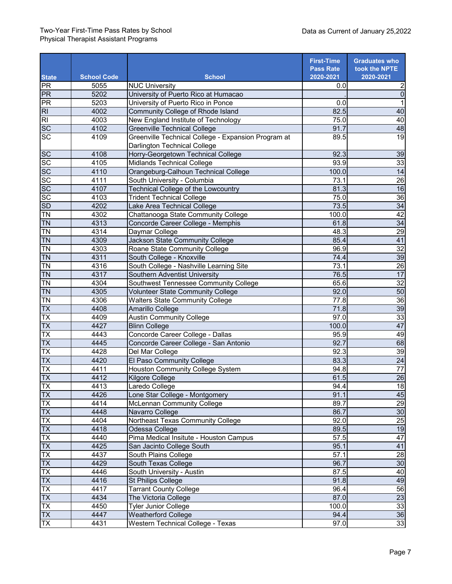|                                |                    |                                                     | <b>First-Time</b><br><b>Pass Rate</b> | <b>Graduates who</b><br>took the NPTE |
|--------------------------------|--------------------|-----------------------------------------------------|---------------------------------------|---------------------------------------|
| <b>State</b>                   | <b>School Code</b> | <b>School</b>                                       | 2020-2021                             | 2020-2021                             |
| PR                             | 5055               | <b>NUC University</b>                               | 0.0                                   | 2                                     |
| PR                             | 5202               | University of Puerto Rico at Humacao                |                                       | $\overline{0}$                        |
| $\overline{PR}$                | 5203               | University of Puerto Rico in Ponce                  | 0.0                                   |                                       |
| $\overline{RI}$                | 4002               | Community College of Rhode Island                   | 82.5                                  | 40                                    |
| $\overline{R}$                 | 4003               | New England Institute of Technology                 | 75.0                                  | 40                                    |
| $\overline{SC}$                | 4102               | <b>Greenville Technical College</b>                 | 91.7                                  | 48                                    |
| $\overline{SC}$                | 4109               | Greenville Technical College - Expansion Program at | 89.5                                  | 19                                    |
|                                |                    | <b>Darlington Technical College</b>                 |                                       |                                       |
| <b>SC</b>                      | 4108               | Horry-Georgetown Technical College                  | 92.3                                  | 39                                    |
| $\overline{SC}$                | 4105               | Midlands Technical College                          | 93.9                                  | 33                                    |
| SC                             | 4110               | Orangeburg-Calhoun Technical College                | 100.0                                 | 14                                    |
| SC                             | 4111               | South University - Columbia                         | 73.1                                  | $\overline{26}$                       |
| SC                             | 4107               | Technical College of the Lowcountry                 | 81.3                                  | 16                                    |
| SC                             | 4103               | <b>Trident Technical College</b>                    | 75.0                                  | 36                                    |
| SD                             | 4202               | Lake Area Technical College                         | 73.5                                  | 34                                    |
| $\overline{TN}$                | 4302               | Chattanooga State Community College                 | 100.0                                 | 42                                    |
| $\overline{TN}$                | 4313               | Concorde Career College - Memphis                   | 61.8                                  | 34                                    |
| $\overline{T}N$                | 4314               | Daymar College                                      | 48.3                                  | 29                                    |
| <b>TN</b>                      | 4309               | Jackson State Community College                     | 85.4                                  | 41                                    |
| <b>TN</b>                      | 4303               | Roane State Community College                       | 96.9                                  | 32                                    |
| <b>TN</b>                      | 4311               | South College - Knoxville                           | 74.4                                  | 39                                    |
| <b>TN</b>                      | 4316               | South College - Nashville Learning Site             | 73.1                                  | $\overline{26}$                       |
| <b>TN</b>                      | 4317               | Southern Adventist University                       | 76.5                                  | 17                                    |
| $\overline{TN}$                | 4304               | Southwest Tennessee Community College               | 65.6                                  | 32                                    |
| <b>TN</b>                      | 4305               | <b>Volunteer State Community College</b>            | 92.0                                  | 50                                    |
| $\overline{T}N$                | 4306               | <b>Walters State Community College</b>              | $\overline{77.8}$                     | 36                                    |
| $\overline{\mathsf{TX}}$       | 4408               | Amarillo College                                    | 71.8                                  | 39                                    |
| $\overline{TX}$                | 4409               | <b>Austin Community College</b>                     | 97.0                                  | 33                                    |
| TX                             | 4427               | <b>Blinn College</b>                                | 100.0                                 | 47                                    |
| $\overline{\mathsf{TX}}$       | 4443               | Concorde Career College - Dallas                    | 95.9                                  | 49                                    |
| $\overline{\mathsf{TX}}$       | 4445               | Concorde Career College - San Antonio               | 92.7                                  | 68                                    |
| TX                             | 4428               | Del Mar College                                     | 92.3                                  | 39                                    |
| <b>TX</b>                      | 4420               | El Paso Community College                           | 83.3                                  | $\overline{24}$                       |
| TX                             | 4411               | Houston Community College System                    | 94.8                                  | 77                                    |
| $\overline{\mathsf{TX}}$       | 4412               | Kilgore College                                     | 61.5                                  | 26                                    |
| $\overline{I}X$                | 4413               | Laredo College                                      | 94.4                                  | 18                                    |
| TX                             | 4426               | Lone Star College - Montgomery                      | 91.1                                  | 45                                    |
| TX                             | 4414               | McLennan Community College                          | 89.7                                  | $\frac{29}{30}$                       |
| TX                             | 4448               | Navarro College                                     | 86.7                                  |                                       |
| TX                             | 4404               | Northeast Texas Community College                   | 92.0                                  | $\overline{25}$                       |
| $\overline{\mathsf{TX}}$       | 4418               | Odessa College                                      | 89.5                                  | 19                                    |
| TX                             | 4440               | Pima Medical Insitute - Houston Campus              | 57.5                                  | 47                                    |
| $\overline{\mathsf{TX}}$       | 4425               | San Jacinto College South                           | 95.1                                  | 41                                    |
| $\overline{I}X$                | 4437               | South Plains College                                | 57.1                                  | 28                                    |
| TX                             | 4429               | South Texas College                                 | 96.7                                  | 30                                    |
| $\frac{TX}{TX}$                | 4446               | South University - Austin                           | 87.5                                  | 40                                    |
|                                | 4416               | <b>St Philips College</b>                           | 91.8                                  | 49                                    |
| $\frac{1}{1}$<br>$\frac{1}{1}$ | 4417               | <b>Tarrant County College</b>                       | 96.4                                  | 56                                    |
|                                | 4434               | The Victoria College                                | 87.0                                  | 23                                    |
| $\overline{IX}$                | 4450               | Tyler Junior College                                | 100.0                                 | $\frac{33}{36}$                       |
| <b>TX</b>                      | 4447               | <b>Weatherford College</b>                          | 94.4                                  |                                       |
| $\overline{TX}$                | 4431               | Western Technical College - Texas                   | 97.0                                  | 33                                    |